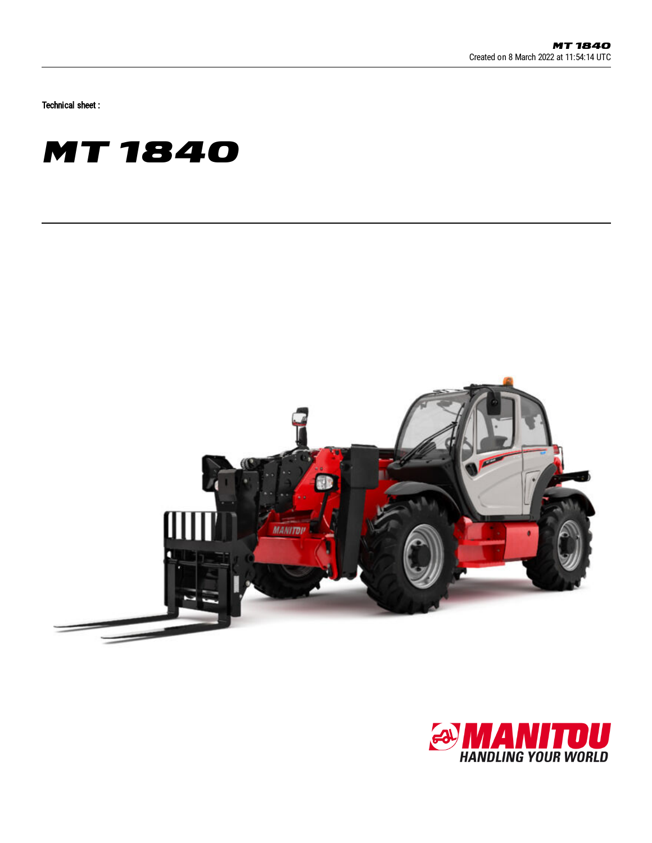Technical sheet :





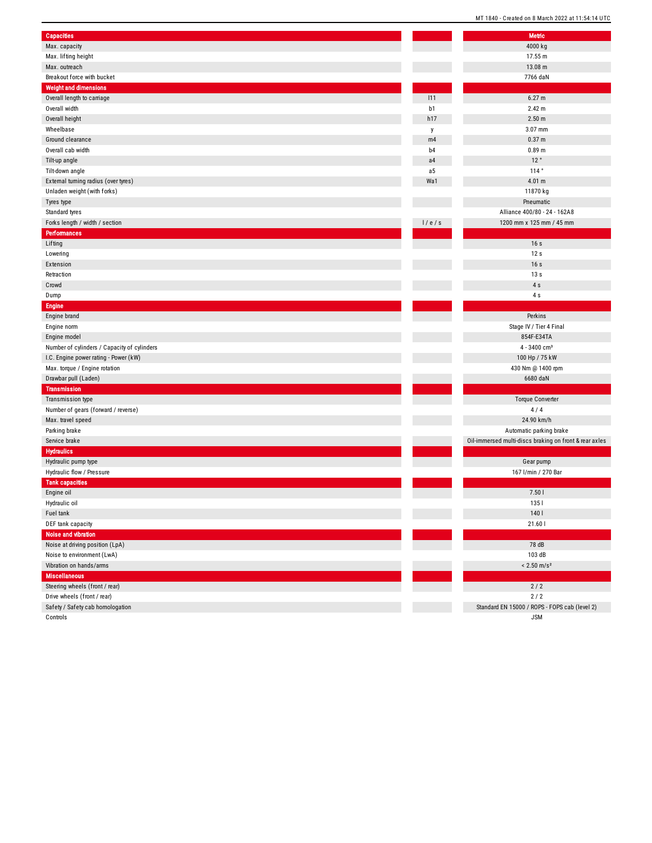|                                             | MI 1840 - Created on 8 March 2022 at 11:54:14 UT       |  |
|---------------------------------------------|--------------------------------------------------------|--|
| <b>Capacities</b>                           | Metric                                                 |  |
| Max. capacity                               | 4000 kg                                                |  |
| Max. lifting height                         | 17.55 m                                                |  |
| Max. outreach                               | 13.08 m                                                |  |
| Breakout force with bucket                  | 7766 daN                                               |  |
| <b>Weight and dimensions</b>                |                                                        |  |
|                                             | 6.27 m<br>111                                          |  |
| Overall length to carriage                  | b1<br>2.42 m                                           |  |
| Overall width                               |                                                        |  |
| Overall height                              | h17<br>2.50 <sub>m</sub>                               |  |
| Wheelbase                                   | 3.07 mm<br>y                                           |  |
| Ground clearance                            | 0.37 m<br>m4                                           |  |
| Overall cab width                           | 0.89 <sub>m</sub><br>b <sub>4</sub>                    |  |
| Tilt-up angle                               | 12°<br>a4                                              |  |
| Tilt-down angle                             | 114°<br>a <sub>5</sub>                                 |  |
| External turning radius (over tyres)        | 4.01 m<br>Wa1                                          |  |
| Unladen weight (with forks)                 | 11870 kg                                               |  |
| Tyres type                                  | Pneumatic                                              |  |
| Standard tyres                              | Alliance 400/80 - 24 - 162A8                           |  |
| Forks length / width / section              | 1/e/s<br>1200 mm x 125 mm / 45 mm                      |  |
| <b>Performances</b>                         |                                                        |  |
| Lifting                                     | 16s                                                    |  |
| Lowering                                    | 12s                                                    |  |
| Extension                                   | 16s                                                    |  |
| Retraction                                  | 13s                                                    |  |
| Crowd                                       | 4s                                                     |  |
| Dump                                        | 4s                                                     |  |
| <b>Engine</b>                               |                                                        |  |
| Engine brand                                | Perkins                                                |  |
| Engine norm                                 | Stage IV / Tier 4 Final                                |  |
| Engine model                                | 854F-E34TA                                             |  |
| Number of cylinders / Capacity of cylinders | $4 - 3400$ cm <sup>3</sup>                             |  |
| I.C. Engine power rating - Power (kW)       | 100 Hp / 75 kW                                         |  |
| Max. torque / Engine rotation               | 430 Nm @ 1400 rpm                                      |  |
| Drawbar pull (Laden)                        | 6680 daN                                               |  |
| <b>Transmission</b>                         |                                                        |  |
| Transmission type                           | <b>Torque Converter</b>                                |  |
| Number of gears (forward / reverse)         | 4/4                                                    |  |
| Max. travel speed                           | 24.90 km/h                                             |  |
| Parking brake                               | Automatic parking brake                                |  |
| Service brake                               | Oil-immersed multi-discs braking on front & rear axles |  |
| <b>Hydraulics</b>                           |                                                        |  |
| Hydraulic pump type                         | Gear pump                                              |  |
| Hydraulic flow / Pressure                   | 167 l/min / 270 Bar                                    |  |
| <b>Tank capacities</b>                      |                                                        |  |
| Engine oil                                  | 7.501                                                  |  |
| Hydraulic oil                               | 1351                                                   |  |
| Fuel tank                                   | 140                                                    |  |
| DEF tank capacity                           | 21.60                                                  |  |
| Noise and vibration                         |                                                        |  |
|                                             |                                                        |  |
| Noise at driving position (LpA)             | 78 dB                                                  |  |
| Noise to environment (LwA)                  | 103 dB                                                 |  |
| Vibration on hands/arms                     | $< 2.50$ m/s <sup>2</sup>                              |  |
| <b>Miscellaneous</b>                        |                                                        |  |
| Steering wheels (front / rear)              | $2/2$                                                  |  |
| Drive wheels (front / rear)                 | $2/2$                                                  |  |
| Safety / Safety cab homologation            | Standard EN 15000 / ROPS - FOPS cab (level 2)          |  |
| Controls                                    | <b>JSM</b>                                             |  |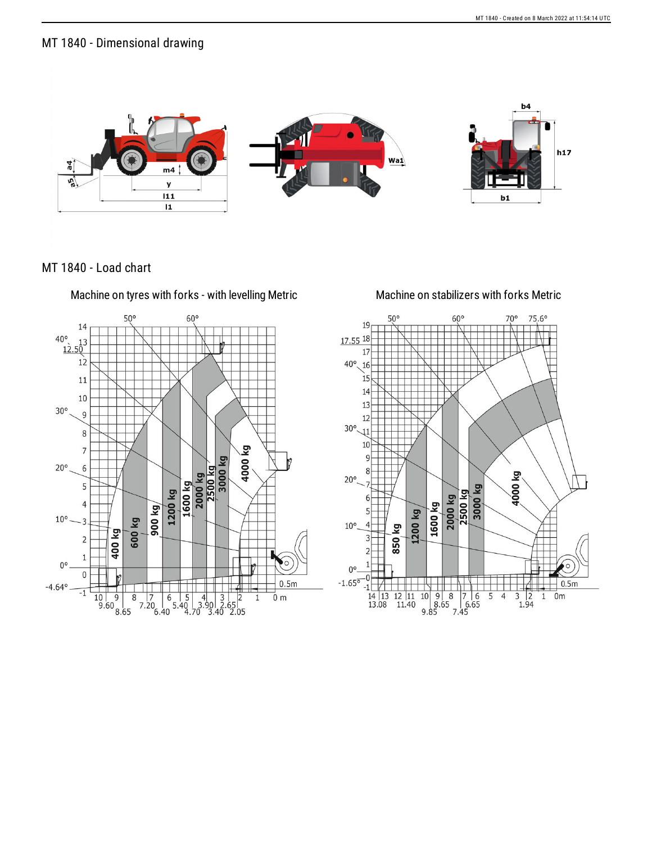## MT 1840 - Dimensional drawing



MT 1840 - Load chart

Machine on tyres with forks - with levelling Metric Machine on stabilizers with forks Metric



17.55 18 17  $40^{\circ}$ 16 15  $1<sup>2</sup>$ 13 12  $30^{\circ}$ 10 ΣÃ  $20^{\circ}$  $40001$ 3000 kg  $2500$  kg 2000 kg 1600 kg  $1200$  kg 850 kg  $10^{\circ}$  $\overline{4}$ 

 $\begin{array}{|c|c|c|c|c|}\n\hline\n10 & 9 & 8 & 7 & 6 \\
8.65 & 6.65 & 9.85 & 7.45\n\end{array}$ 

 $60<sup>c</sup>$ 

 $70^{\circ}$ 

 $75,6°$ 

 $0.5<sub>m</sub>$ 

 $\frac{3}{2}$ <br>1.94

 $\overline{1}$  $0m$ 

5  $\overline{4}$ 

 $50^{\circ}$ 

 $\overline{3}$ 

 $\overline{2}$ 

1  $0^{\circ}$ 

-0

 $\frac{12}{11}$   $\frac{11}{11.40}$ 

 $-1.65^{\overline{0}}$